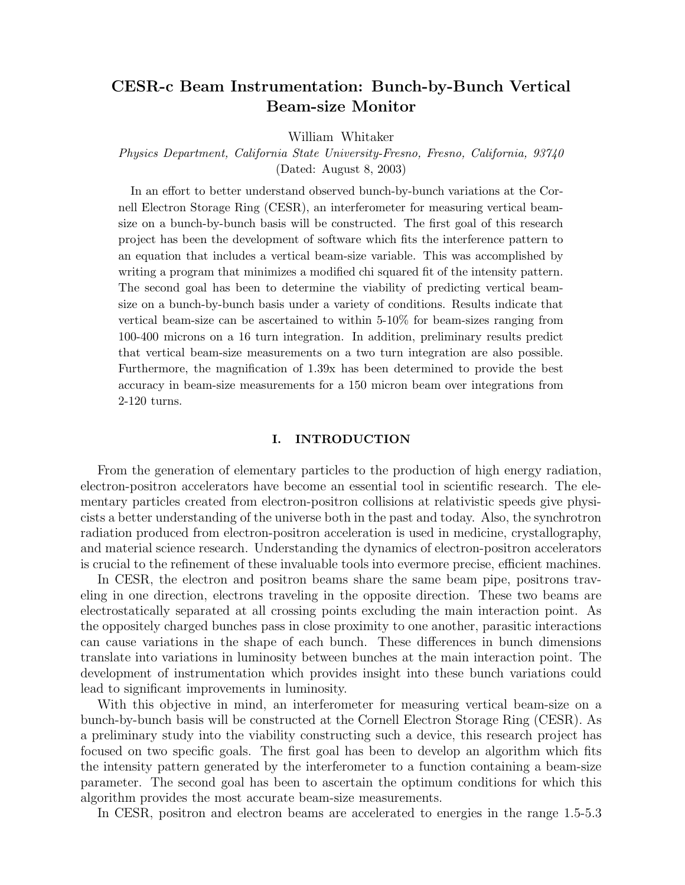# CESR-c Beam Instrumentation: Bunch-by-Bunch Vertical Beam-size Monitor

William Whitaker

## Physics Department, California State University-Fresno, Fresno, California, 93740 (Dated: August 8, 2003)

In an effort to better understand observed bunch-by-bunch variations at the Cornell Electron Storage Ring (CESR), an interferometer for measuring vertical beamsize on a bunch-by-bunch basis will be constructed. The first goal of this research project has been the development of software which fits the interference pattern to an equation that includes a vertical beam-size variable. This was accomplished by writing a program that minimizes a modified chi squared fit of the intensity pattern. The second goal has been to determine the viability of predicting vertical beamsize on a bunch-by-bunch basis under a variety of conditions. Results indicate that vertical beam-size can be ascertained to within 5-10% for beam-sizes ranging from 100-400 microns on a 16 turn integration. In addition, preliminary results predict that vertical beam-size measurements on a two turn integration are also possible. Furthermore, the magnification of 1.39x has been determined to provide the best accuracy in beam-size measurements for a 150 micron beam over integrations from 2-120 turns.

#### I. INTRODUCTION

From the generation of elementary particles to the production of high energy radiation, electron-positron accelerators have become an essential tool in scientific research. The elementary particles created from electron-positron collisions at relativistic speeds give physicists a better understanding of the universe both in the past and today. Also, the synchrotron radiation produced from electron-positron acceleration is used in medicine, crystallography, and material science research. Understanding the dynamics of electron-positron accelerators is crucial to the refinement of these invaluable tools into evermore precise, efficient machines.

In CESR, the electron and positron beams share the same beam pipe, positrons traveling in one direction, electrons traveling in the opposite direction. These two beams are electrostatically separated at all crossing points excluding the main interaction point. As the oppositely charged bunches pass in close proximity to one another, parasitic interactions can cause variations in the shape of each bunch. These differences in bunch dimensions translate into variations in luminosity between bunches at the main interaction point. The development of instrumentation which provides insight into these bunch variations could lead to significant improvements in luminosity.

With this objective in mind, an interferometer for measuring vertical beam-size on a bunch-by-bunch basis will be constructed at the Cornell Electron Storage Ring (CESR). As a preliminary study into the viability constructing such a device, this research project has focused on two specific goals. The first goal has been to develop an algorithm which fits the intensity pattern generated by the interferometer to a function containing a beam-size parameter. The second goal has been to ascertain the optimum conditions for which this algorithm provides the most accurate beam-size measurements.

In CESR, positron and electron beams are accelerated to energies in the range 1.5-5.3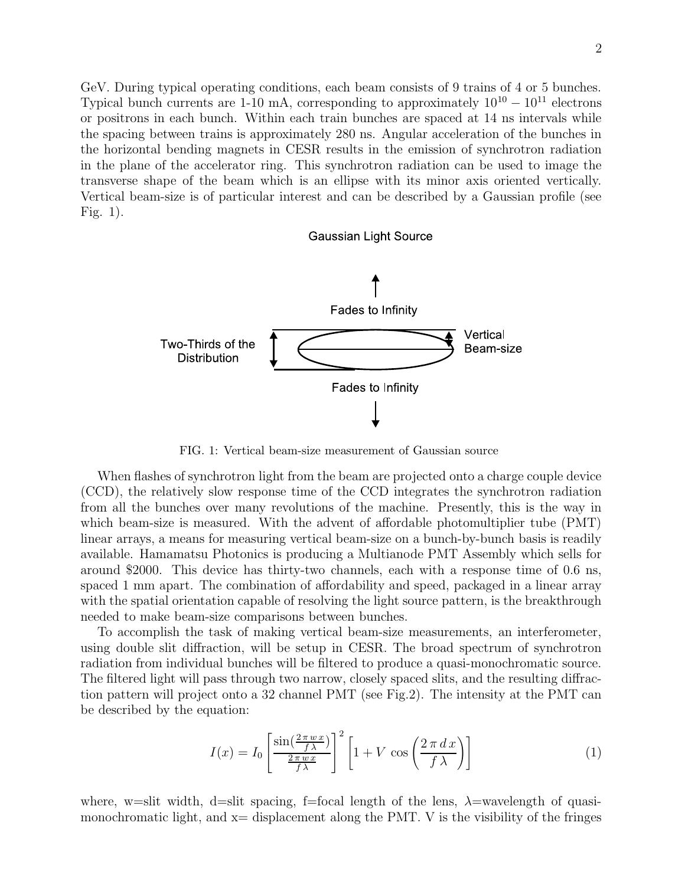GeV. During typical operating conditions, each beam consists of 9 trains of 4 or 5 bunches. Typical bunch currents are 1-10 mA, corresponding to approximately  $10^{10} - 10^{11}$  electrons or positrons in each bunch. Within each train bunches are spaced at 14 ns intervals while the spacing between trains is approximately 280 ns. Angular acceleration of the bunches in the horizontal bending magnets in CESR results in the emission of synchrotron radiation in the plane of the accelerator ring. This synchrotron radiation can be used to image the transverse shape of the beam which is an ellipse with its minor axis oriented vertically. Vertical beam-size is of particular interest and can be described by a Gaussian profile (see Fig. 1).

#### **Gaussian Light Source**



FIG. 1: Vertical beam-size measurement of Gaussian source

When flashes of synchrotron light from the beam are projected onto a charge couple device (CCD), the relatively slow response time of the CCD integrates the synchrotron radiation from all the bunches over many revolutions of the machine. Presently, this is the way in which beam-size is measured. With the advent of affordable photomultiplier tube (PMT) linear arrays, a means for measuring vertical beam-size on a bunch-by-bunch basis is readily available. Hamamatsu Photonics is producing a Multianode PMT Assembly which sells for around \$2000. This device has thirty-two channels, each with a response time of 0.6 ns, spaced 1 mm apart. The combination of affordability and speed, packaged in a linear array with the spatial orientation capable of resolving the light source pattern, is the breakthrough needed to make beam-size comparisons between bunches.

To accomplish the task of making vertical beam-size measurements, an interferometer, using double slit diffraction, will be setup in CESR. The broad spectrum of synchrotron radiation from individual bunches will be filtered to produce a quasi-monochromatic source. The filtered light will pass through two narrow, closely spaced slits, and the resulting diffraction pattern will project onto a 32 channel PMT (see Fig.2). The intensity at the PMT can be described by the equation:

$$
I(x) = I_0 \left[ \frac{\sin(\frac{2\pi w x}{f\lambda})}{\frac{2\pi w x}{f\lambda}} \right]^2 \left[ 1 + V \cos\left(\frac{2\pi dx}{f\lambda}\right) \right]
$$
 (1)

where, w=slit width, d=slit spacing, f=focal length of the lens,  $\lambda$ =wavelength of quasimonochromatic light, and  $x=$  displacement along the PMT. V is the visibility of the fringes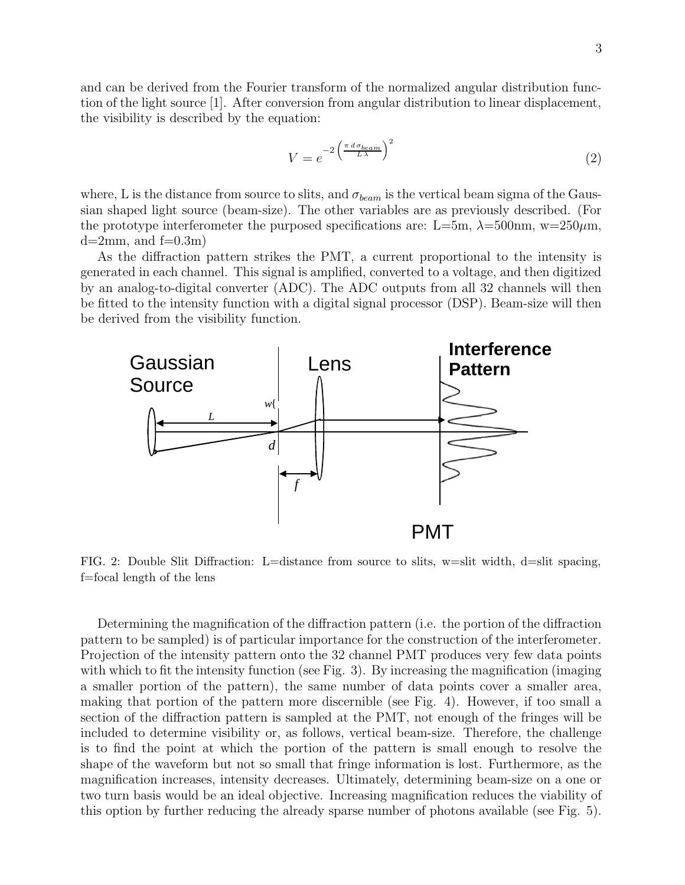and can be derived from the Fourier transform of the normalized angular distribution function of the light source [1]. After conversion from angular distribution to linear displacement, the visibility is described by the equation:

$$
V = e^{-2\left(\frac{\pi \, d \sigma_{beam}}{L\,\lambda}\right)^2} \tag{2}
$$

where, L is the distance from source to slits, and  $\sigma_{beam}$  is the vertical beam sigma of the Gaussian shaped light source (beam-size). The other variables are as previously described. (For the prototype interferometer the purposed specifications are: L=5m,  $\lambda$ =500nm, w=250 $\mu$ m,  $d=2mm$ , and  $f=0.3m$ 

As the diffraction pattern strikes the PMT, a current proportional to the intensity is generated in each channel. This signal is amplified, converted to a voltage, and then digitized by an analog-to-digital converter (ADC). The ADC outputs from all 32 channels will then be fitted to the intensity function with a digital signal processor (DSP). Beam-size will then be derived from the visibility function.



FIG. 2: Double Slit Diffraction: L=distance from source to slits, w=slit width, d=slit spacing, f=focal length of the lens

Determining the magnification of the diffraction pattern (i.e. the portion of the diffraction pattern to be sampled) is of particular importance for the construction of the interferometer. Projection of the intensity pattern onto the 32 channel PMT produces very few data points with which to fit the intensity function (see Fig. 3). By increasing the magnification (imaging a smaller portion of the pattern), the same number of data points cover a smaller area, making that portion of the pattern more discernible (see Fig. 4). However, if too small a section of the diffraction pattern is sampled at the PMT, not enough of the fringes will be included to determine visibility or, as follows, vertical beam-size. Therefore, the challenge is to find the point at which the portion of the pattern is small enough to resolve the shape of the waveform but not so small that fringe information is lost. Furthermore, as the magnification increases, intensity decreases. Ultimately, determining beam-size on a one or two turn basis would be an ideal objective. Increasing magnification reduces the viability of this option by further reducing the already sparse number of photons available (see Fig. 5).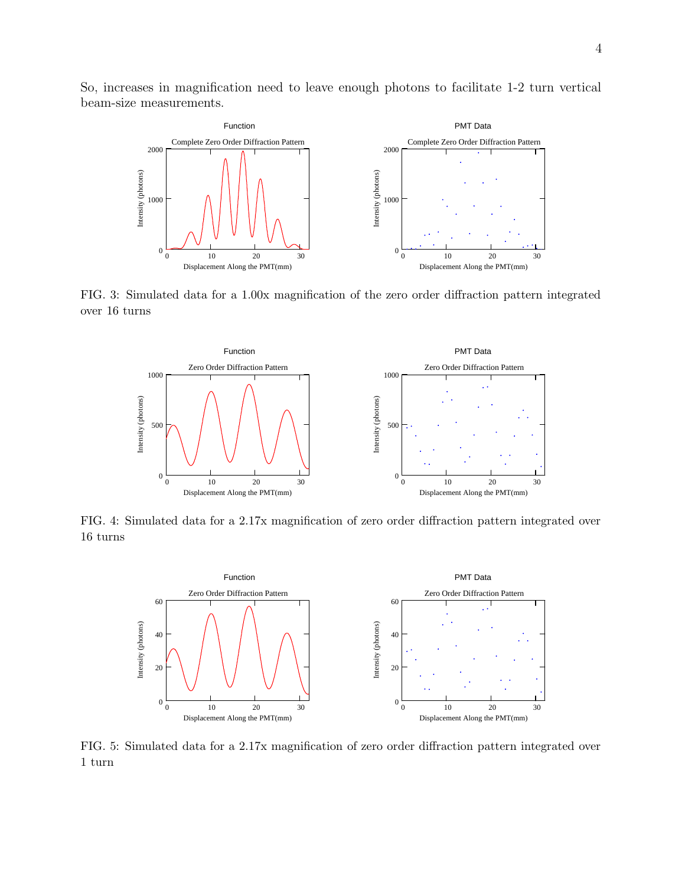So, increases in magnification need to leave enough photons to facilitate 1-2 turn vertical beam-size measurements.



FIG. 3: Simulated data for a 1.00x magnification of the zero order diffraction pattern integrated over 16 turns



FIG. 4: Simulated data for a 2.17x magnification of zero order diffraction pattern integrated over 16 turns



FIG. 5: Simulated data for a 2.17x magnification of zero order diffraction pattern integrated over 1 turn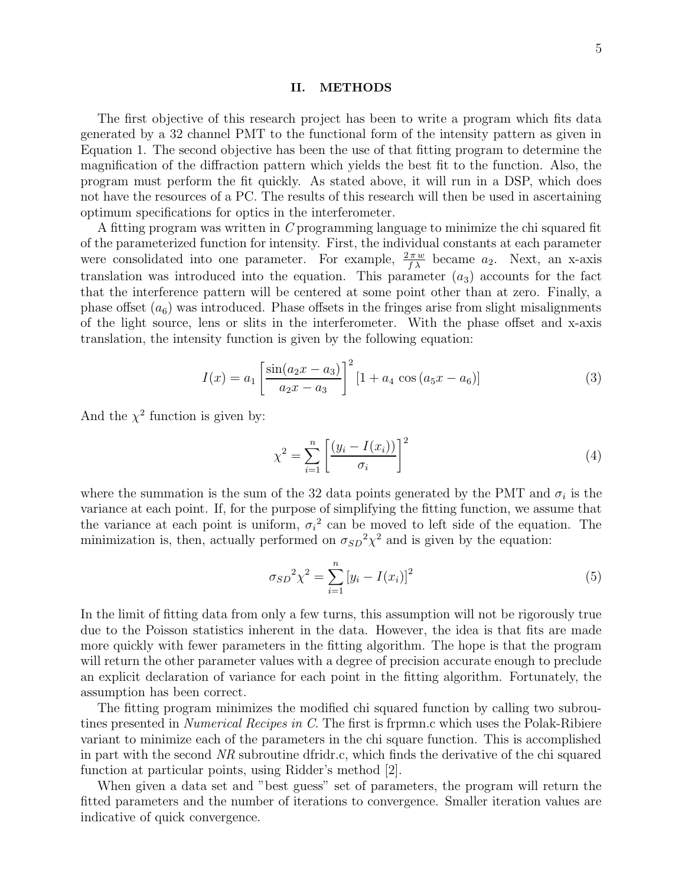#### II. METHODS

The first objective of this research project has been to write a program which fits data generated by a 32 channel PMT to the functional form of the intensity pattern as given in Equation 1. The second objective has been the use of that fitting program to determine the magnification of the diffraction pattern which yields the best fit to the function. Also, the program must perform the fit quickly. As stated above, it will run in a DSP, which does not have the resources of a PC. The results of this research will then be used in ascertaining optimum specifications for optics in the interferometer.

A fitting program was written in C programming language to minimize the chi squared fit of the parameterized function for intensity. First, the individual constants at each parameter were consolidated into one parameter. For example,  $\frac{2\pi w}{f\lambda}$  became  $a_2$ . Next, an x-axis translation was introduced into the equation. This parameter  $(a_3)$  accounts for the fact that the interference pattern will be centered at some point other than at zero. Finally, a phase offset  $(a_6)$  was introduced. Phase offsets in the fringes arise from slight misalignments of the light source, lens or slits in the interferometer. With the phase offset and x-axis translation, the intensity function is given by the following equation:

$$
I(x) = a_1 \left[ \frac{\sin(a_2 x - a_3)}{a_2 x - a_3} \right]^2 [1 + a_4 \cos(a_5 x - a_6)] \tag{3}
$$

And the  $\chi^2$  function is given by:

$$
\chi^2 = \sum_{i=1}^n \left[ \frac{(y_i - I(x_i))}{\sigma_i} \right]^2 \tag{4}
$$

where the summation is the sum of the 32 data points generated by the PMT and  $\sigma_i$  is the variance at each point. If, for the purpose of simplifying the fitting function, we assume that the variance at each point is uniform,  $\sigma_i^2$  can be moved to left side of the equation. The minimization is, then, actually performed on  $\sigma_{SD}^2 \chi^2$  and is given by the equation:

$$
\sigma_{SD}^{2} \chi^{2} = \sum_{i=1}^{n} \left[ y_i - I(x_i) \right]^2 \tag{5}
$$

In the limit of fitting data from only a few turns, this assumption will not be rigorously true due to the Poisson statistics inherent in the data. However, the idea is that fits are made more quickly with fewer parameters in the fitting algorithm. The hope is that the program will return the other parameter values with a degree of precision accurate enough to preclude an explicit declaration of variance for each point in the fitting algorithm. Fortunately, the assumption has been correct.

The fitting program minimizes the modified chi squared function by calling two subroutines presented in *Numerical Recipes in C*. The first is frpm.c which uses the Polak-Ribiere variant to minimize each of the parameters in the chi square function. This is accomplished in part with the second NR subroutine dfridr.c, which finds the derivative of the chi squared function at particular points, using Ridder's method [2].

When given a data set and "best guess" set of parameters, the program will return the fitted parameters and the number of iterations to convergence. Smaller iteration values are indicative of quick convergence.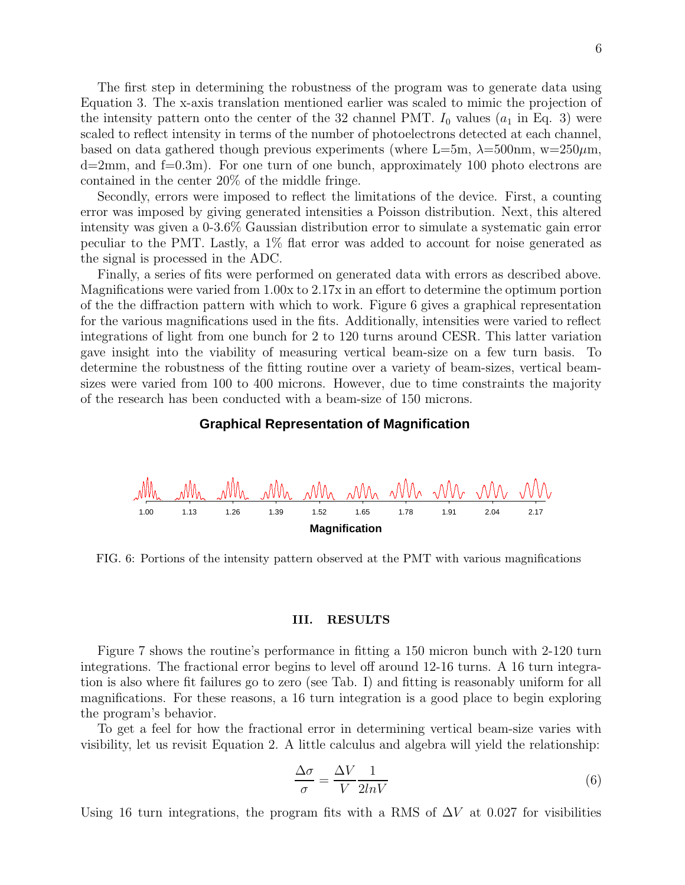The first step in determining the robustness of the program was to generate data using Equation 3. The x-axis translation mentioned earlier was scaled to mimic the projection of the intensity pattern onto the center of the 32 channel PMT.  $I_0$  values  $(a_1$  in Eq. 3) were scaled to reflect intensity in terms of the number of photoelectrons detected at each channel, based on data gathered though previous experiments (where L=5m,  $\lambda$ =500nm, w=250 $\mu$ m,  $d=2mm$ , and  $f=0.3m$ ). For one turn of one bunch, approximately 100 photo electrons are contained in the center 20% of the middle fringe.

Secondly, errors were imposed to reflect the limitations of the device. First, a counting error was imposed by giving generated intensities a Poisson distribution. Next, this altered intensity was given a 0-3.6% Gaussian distribution error to simulate a systematic gain error peculiar to the PMT. Lastly, a 1% flat error was added to account for noise generated as the signal is processed in the ADC.

Finally, a series of fits were performed on generated data with errors as described above. Magnifications were varied from 1.00x to 2.17x in an effort to determine the optimum portion of the the diffraction pattern with which to work. Figure 6 gives a graphical representation for the various magnifications used in the fits. Additionally, intensities were varied to reflect integrations of light from one bunch for 2 to 120 turns around CESR. This latter variation gave insight into the viability of measuring vertical beam-size on a few turn basis. To determine the robustness of the fitting routine over a variety of beam-sizes, vertical beamsizes were varied from 100 to 400 microns. However, due to time constraints the majority of the research has been conducted with a beam-size of 150 microns.

#### **Graphical Representation of Magnification**



FIG. 6: Portions of the intensity pattern observed at the PMT with various magnifications

#### III. RESULTS

Figure 7 shows the routine's performance in fitting a 150 micron bunch with 2-120 turn integrations. The fractional error begins to level off around 12-16 turns. A 16 turn integration is also where fit failures go to zero (see Tab. I) and fitting is reasonably uniform for all magnifications. For these reasons, a 16 turn integration is a good place to begin exploring the program's behavior.

To get a feel for how the fractional error in determining vertical beam-size varies with visibility, let us revisit Equation 2. A little calculus and algebra will yield the relationship:

$$
\frac{\Delta \sigma}{\sigma} = \frac{\Delta V}{V} \frac{1}{2lnV} \tag{6}
$$

Using 16 turn integrations, the program fits with a RMS of  $\Delta V$  at 0.027 for visibilities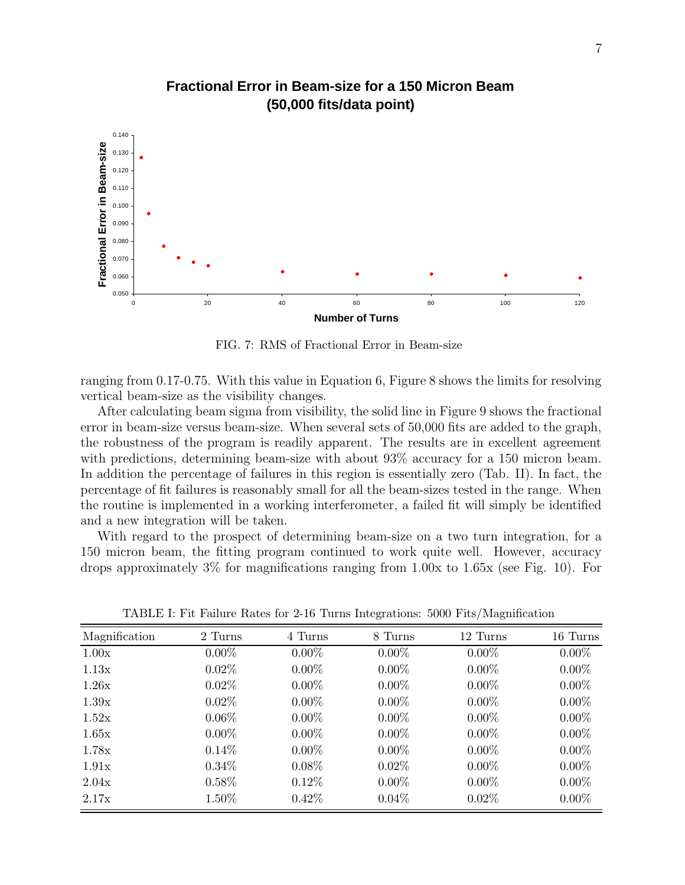

## **Fractional Error in Beam-size for a 150 Micron Beam (50,000 fits/data point)**

FIG. 7: RMS of Fractional Error in Beam-size

ranging from 0.17-0.75. With this value in Equation 6, Figure 8 shows the limits for resolving vertical beam-size as the visibility changes.

After calculating beam sigma from visibility, the solid line in Figure 9 shows the fractional error in beam-size versus beam-size. When several sets of 50,000 fits are added to the graph, the robustness of the program is readily apparent. The results are in excellent agreement with predictions, determining beam-size with about 93% accuracy for a 150 micron beam. In addition the percentage of failures in this region is essentially zero (Tab. II). In fact, the percentage of fit failures is reasonably small for all the beam-sizes tested in the range. When the routine is implemented in a working interferometer, a failed fit will simply be identified and a new integration will be taken.

With regard to the prospect of determining beam-size on a two turn integration, for a 150 micron beam, the fitting program continued to work quite well. However, accuracy drops approximately 3% for magnifications ranging from 1.00x to 1.65x (see Fig. 10). For

| Magnification | 2 Turns  | 4 Turns  | 8 Turns  | 12 Turns | 16 Turns |
|---------------|----------|----------|----------|----------|----------|
| 1.00x         | $0.00\%$ | $0.00\%$ | $0.00\%$ | $0.00\%$ | $0.00\%$ |
| 1.13x         | $0.02\%$ | $0.00\%$ | $0.00\%$ | $0.00\%$ | $0.00\%$ |
| 1.26x         | $0.02\%$ | $0.00\%$ | $0.00\%$ | $0.00\%$ | $0.00\%$ |
| 1.39x         | $0.02\%$ | $0.00\%$ | $0.00\%$ | $0.00\%$ | $0.00\%$ |
| 1.52x         | $0.06\%$ | $0.00\%$ | $0.00\%$ | $0.00\%$ | $0.00\%$ |
| 1.65x         | $0.00\%$ | $0.00\%$ | $0.00\%$ | $0.00\%$ | $0.00\%$ |
| 1.78x         | $0.14\%$ | $0.00\%$ | $0.00\%$ | $0.00\%$ | $0.00\%$ |
| 1.91x         | $0.34\%$ | $0.08\%$ | $0.02\%$ | $0.00\%$ | $0.00\%$ |
| 2.04x         | $0.58\%$ | $0.12\%$ | $0.00\%$ | $0.00\%$ | $0.00\%$ |
| 2.17x         | 1.50%    | $0.42\%$ | $0.04\%$ | $0.02\%$ | $0.00\%$ |

TABLE I: Fit Failure Rates for 2-16 Turns Integrations: 5000 Fits/Magnification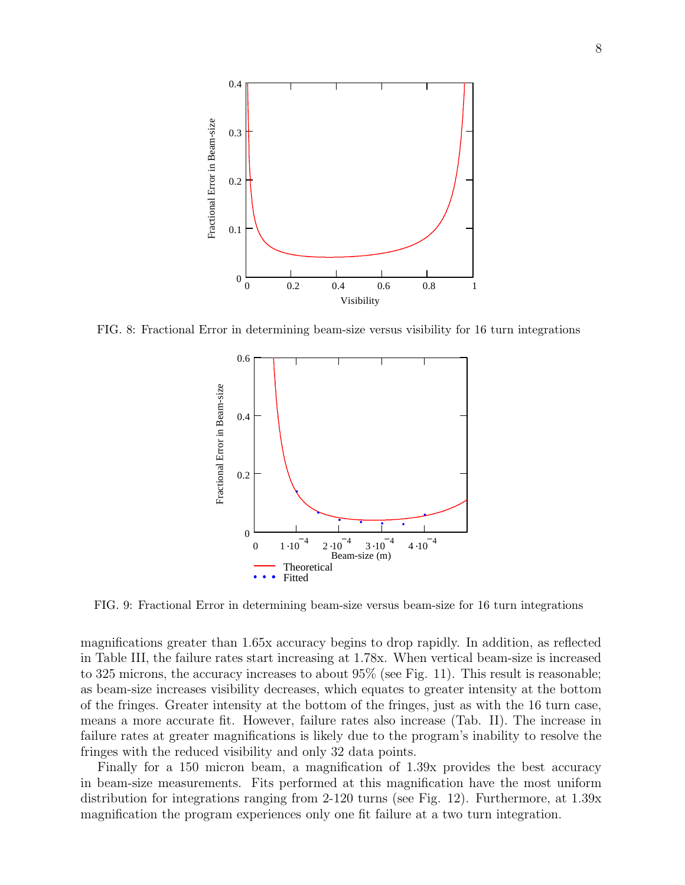

FIG. 8: Fractional Error in determining beam-size versus visibility for 16 turn integrations



FIG. 9: Fractional Error in determining beam-size versus beam-size for 16 turn integrations

magnifications greater than 1.65x accuracy begins to drop rapidly. In addition, as reflected in Table III, the failure rates start increasing at 1.78x. When vertical beam-size is increased to 325 microns, the accuracy increases to about 95% (see Fig. 11). This result is reasonable; as beam-size increases visibility decreases, which equates to greater intensity at the bottom of the fringes. Greater intensity at the bottom of the fringes, just as with the 16 turn case, means a more accurate fit. However, failure rates also increase (Tab. II). The increase in failure rates at greater magnifications is likely due to the program's inability to resolve the fringes with the reduced visibility and only 32 data points.

Finally for a 150 micron beam, a magnification of 1.39x provides the best accuracy in beam-size measurements. Fits performed at this magnification have the most uniform distribution for integrations ranging from 2-120 turns (see Fig. 12). Furthermore, at 1.39x magnification the program experiences only one fit failure at a two turn integration.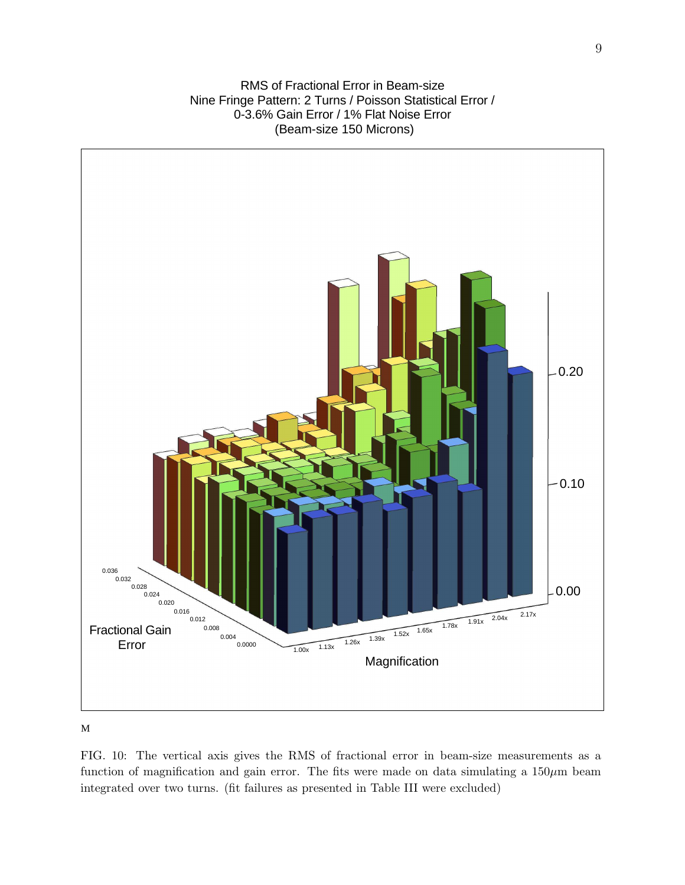RMS of Fractional Error in Beam-size Nine Fringe Pattern: 2 Turns / Poisson Statistical Error / 0-3.6% Gain Error / 1% Flat Noise Error (Beam-size 150 Microns)



M

FIG. 10: The vertical axis gives the RMS of fractional error in beam-size measurements as a function of magnification and gain error. The fits were made on data simulating a  $150 \mu m$  beam integrated over two turns. (fit failures as presented in Table III were excluded)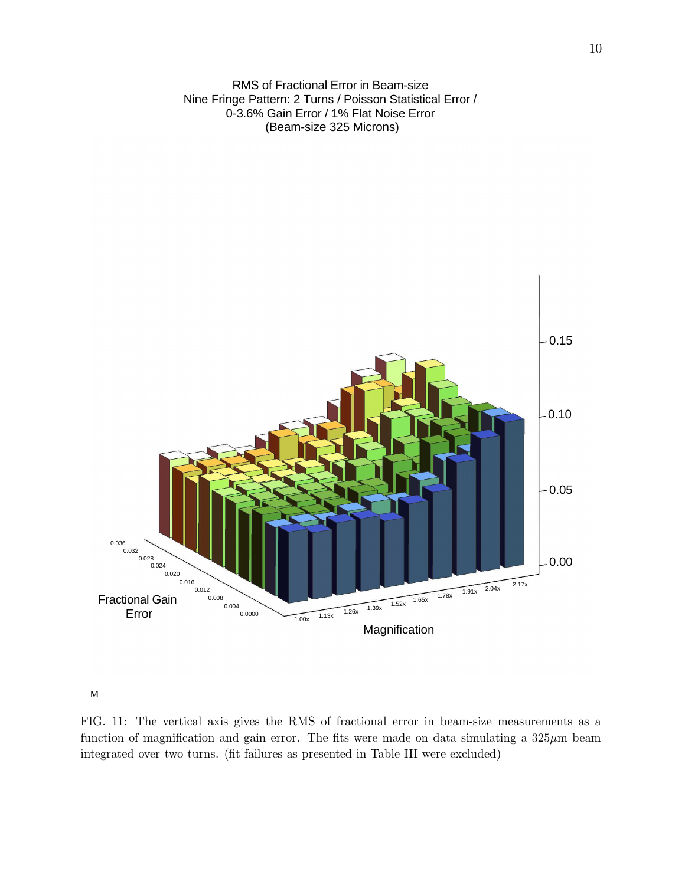RMS of Fractional Error in Beam-size Nine Fringe Pattern: 2 Turns / Poisson Statistical Error / 0-3.6% Gain Error / 1% Flat Noise Error (Beam-size 325 Microns)



M

FIG. 11: The vertical axis gives the RMS of fractional error in beam-size measurements as a function of magnification and gain error. The fits were made on data simulating a  $325\mu$ m beam integrated over two turns. (fit failures as presented in Table III were excluded)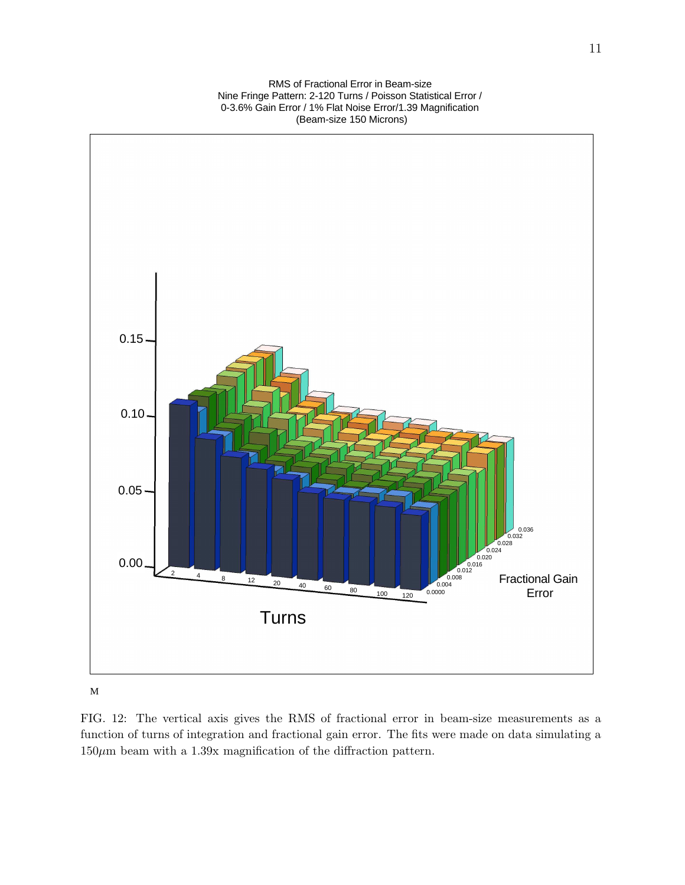RMS of Fractional Error in Beam-size Nine Fringe Pattern: 2-120 Turns / Poisson Statistical Error / 0-3.6% Gain Error / 1% Flat Noise Error/1.39 Magnification (Beam-size 150 Microns)



M

FIG. 12: The vertical axis gives the RMS of fractional error in beam-size measurements as a function of turns of integration and fractional gain error. The fits were made on data simulating a  $150\mu\mathrm{m}$  beam with a 1.39x magnification of the diffraction pattern.